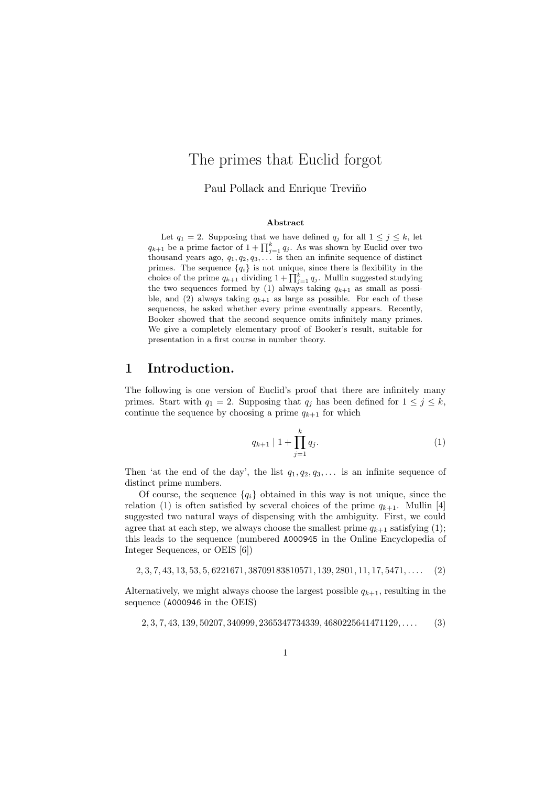## The primes that Euclid forgot

Paul Pollack and Enrique Treviño

#### Abstract

Let  $q_1 = 2$ . Supposing that we have defined  $q_j$  for all  $1 \leq j \leq k$ , let  $q_{k+1}$  be a prime factor of  $1+\prod_{j=1}^k q_j$ . As was shown by Euclid over two thousand years ago,  $q_1, q_2, q_3, \ldots$  is then an infinite sequence of distinct primes. The sequence  ${q_i}$  is not unique, since there is flexibility in the choice of the prime  $q_{k+1}$  dividing  $1 + \prod_{j=1}^{k} q_j$ . Mullin suggested studying the two sequences formed by (1) always taking  $q_{k+1}$  as small as possible, and (2) always taking  $q_{k+1}$  as large as possible. For each of these sequences, he asked whether every prime eventually appears. Recently, Booker showed that the second sequence omits infinitely many primes. We give a completely elementary proof of Booker's result, suitable for presentation in a first course in number theory.

#### 1 Introduction.

The following is one version of Euclid's proof that there are infinitely many primes. Start with  $q_1 = 2$ . Supposing that  $q_j$  has been defined for  $1 \leq j \leq k$ , continue the sequence by choosing a prime  $q_{k+1}$  for which

$$
q_{k+1} \mid 1 + \prod_{j=1}^{k} q_j. \tag{1}
$$

Then 'at the end of the day', the list  $q_1, q_2, q_3, \ldots$  is an infinite sequence of distinct prime numbers.

Of course, the sequence  ${q_i}$  obtained in this way is not unique, since the relation (1) is often satisfied by several choices of the prime  $q_{k+1}$ . Mullin [4] suggested two natural ways of dispensing with the ambiguity. First, we could agree that at each step, we always choose the smallest prime  $q_{k+1}$  satisfying (1); this leads to the sequence (numbered A000945 in the Online Encyclopedia of Integer Sequences, or OEIS [6])

 $2, 3, 7, 43, 13, 53, 5, 6221671, 38709183810571, 139, 2801, 11, 17, 5471, \ldots$  (2)

Alternatively, we might always choose the largest possible  $q_{k+1}$ , resulting in the sequence (A000946 in the OEIS)

 $2, 3, 7, 43, 139, 50207, 340999, 2365347734339, 4680225641471129, \ldots$  (3)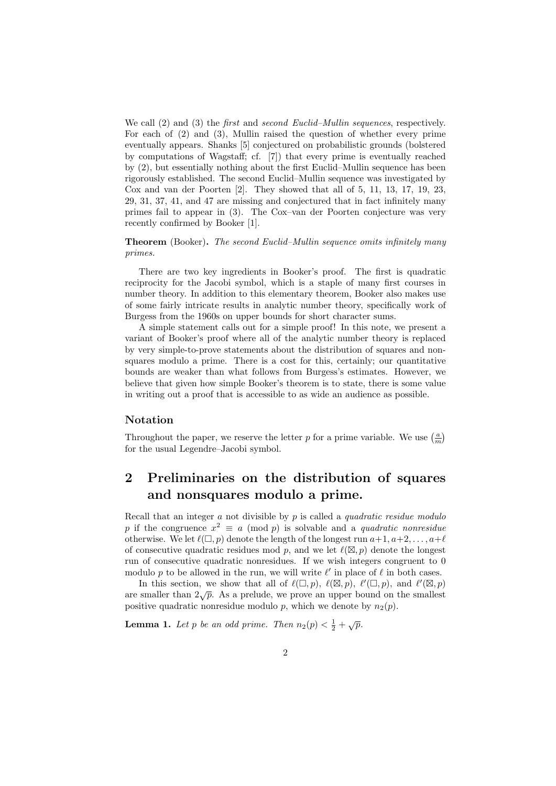We call (2) and (3) the *first* and *second Euclid–Mullin sequences*, respectively. For each of (2) and (3), Mullin raised the question of whether every prime eventually appears. Shanks [5] conjectured on probabilistic grounds (bolstered by computations of Wagstaff; cf. [7]) that every prime is eventually reached by (2), but essentially nothing about the first Euclid–Mullin sequence has been rigorously established. The second Euclid–Mullin sequence was investigated by Cox and van der Poorten [2]. They showed that all of 5, 11, 13, 17, 19, 23, 29, 31, 37, 41, and 47 are missing and conjectured that in fact infinitely many primes fail to appear in (3). The Cox–van der Poorten conjecture was very recently confirmed by Booker [1].

Theorem (Booker). The second Euclid–Mullin sequence omits infinitely many primes.

There are two key ingredients in Booker's proof. The first is quadratic reciprocity for the Jacobi symbol, which is a staple of many first courses in number theory. In addition to this elementary theorem, Booker also makes use of some fairly intricate results in analytic number theory, specifically work of Burgess from the 1960s on upper bounds for short character sums.

A simple statement calls out for a simple proof! In this note, we present a variant of Booker's proof where all of the analytic number theory is replaced by very simple-to-prove statements about the distribution of squares and nonsquares modulo a prime. There is a cost for this, certainly; our quantitative bounds are weaker than what follows from Burgess's estimates. However, we believe that given how simple Booker's theorem is to state, there is some value in writing out a proof that is accessible to as wide an audience as possible.

#### Notation

Throughout the paper, we reserve the letter p for a prime variable. We use  $\left(\frac{a}{m}\right)$ for the usual Legendre–Jacobi symbol.

### 2 Preliminaries on the distribution of squares and nonsquares modulo a prime.

Recall that an integer a not divisible by p is called a quadratic residue modulo p if the congruence  $x^2 \equiv a \pmod{p}$  is solvable and a quadratic nonresidue otherwise. We let  $\ell(\square, p)$  denote the length of the longest run  $a+1, a+2, \ldots, a+\ell$ of consecutive quadratic residues mod p, and we let  $\ell(\mathbb{Z}, p)$  denote the longest run of consecutive quadratic nonresidues. If we wish integers congruent to 0 modulo p to be allowed in the run, we will write  $\ell'$  in place of  $\ell$  in both cases.

In this section, we show that all of  $\ell(\square, p)$ ,  $\ell(\square, p)$ ,  $\ell'(\square, p)$ , and  $\ell'(\square, p)$ are smaller than  $2\sqrt{p}$ . As a prelude, we prove an upper bound on the smallest positive quadratic nonresidue modulo p, which we denote by  $n_2(p)$ .

**Lemma 1.** Let p be an odd prime. Then  $n_2(p) < \frac{1}{2} + \sqrt{p}$ .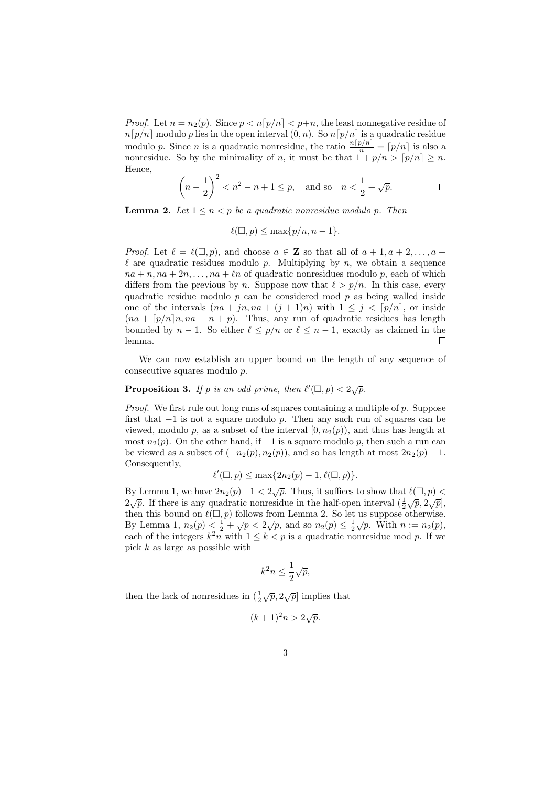*Proof.* Let  $n = n_2(p)$ . Since  $p < n[p/n] < p+n$ , the least nonnegative residue of  $n[p/n]$  modulo p lies in the open interval  $(0, n)$ . So  $n[p/n]$  is a quadratic residue modulo p. Since n is a quadratic nonresidue, the ratio  $\frac{n[p/n]}{n} = [p/n]$  is also a nonresidue. So by the minimality of n, it must be that  $1 + p/n > [p/n] \ge n$ . Hence,

$$
\left(n - \frac{1}{2}\right)^2 < n^2 - n + 1 \le p
$$
, and so  $n < \frac{1}{2} + \sqrt{p}$ .

**Lemma 2.** Let  $1 \le n \le p$  be a quadratic nonresidue modulo p. Then

$$
\ell(\square, p) \le \max\{p/n, n-1\}.
$$

*Proof.* Let  $\ell = \ell(\square, p)$ , and choose  $a \in \mathbb{Z}$  so that all of  $a + 1, a + 2, \ldots, a + \ell$  $\ell$  are quadratic residues modulo p. Multiplying by n, we obtain a sequence  $na + n, na + 2n, \ldots, na + \ell n$  of quadratic nonresidues modulo p, each of which differs from the previous by n. Suppose now that  $\ell > p/n$ . In this case, every quadratic residue modulo  $p$  can be considered mod  $p$  as being walled inside one of the intervals  $(na + jn, na + (j + 1)n)$  with  $1 \leq j \leq [p/n]$ , or inside  $(na + \lceil p/n \rceil n, na + n + p)$ . Thus, any run of quadratic residues has length bounded by  $n - 1$ . So either  $\ell \leq p/n$  or  $\ell \leq n - 1$ , exactly as claimed in the lemma.  $\Box$ 

We can now establish an upper bound on the length of any sequence of consecutive squares modulo p.

# **Proposition 3.** If p is an odd prime, then  $\ell'(\square, p) < 2\sqrt{p}$ .

*Proof.* We first rule out long runs of squares containing a multiple of  $p$ . Suppose first that  $-1$  is not a square modulo p. Then any such run of squares can be viewed, modulo p, as a subset of the interval  $[0, n_2(p))$ , and thus has length at most  $n_2(p)$ . On the other hand, if −1 is a square modulo p, then such a run can be viewed as a subset of  $(-n_2(p), n_2(p))$ , and so has length at most  $2n_2(p) - 1$ . Consequently,

$$
\ell'(\square, p) \le \max\{2n_2(p) - 1, \ell(\square, p)\}.
$$

By Lemma 1, we have  $2n_2(p)-1 < 2\sqrt{p}$ . Thus, it suffices to show that  $\ell(\Box, p)$  $2\sqrt{p}$ . If there is any quadratic nonresidue in the half-open interval  $(\frac{1}{2}\sqrt{p}, 2\sqrt{p})$ , then this bound on  $\ell(\Box, p)$  follows from Lemma 2. So let us suppose otherwise. By Lemma 1,  $n_2(p) \leq \frac{1}{2} + \sqrt{p} < 2\sqrt{p}$ , and so  $n_2(p) \leq \frac{1}{2}\sqrt{p}$ . With  $n := n_2(p)$ , each of the integers  $k^2n$  with  $1 \leq k < p$  is a quadratic nonresidue mod p. If we pick k as large as possible with

$$
k^2 n \le \frac{1}{2}\sqrt{p},
$$

then the lack of nonresidues in  $(\frac{1}{2}\sqrt{p}, 2\sqrt{p}]$  implies that

$$
(k+1)^2 n > 2\sqrt{p}.
$$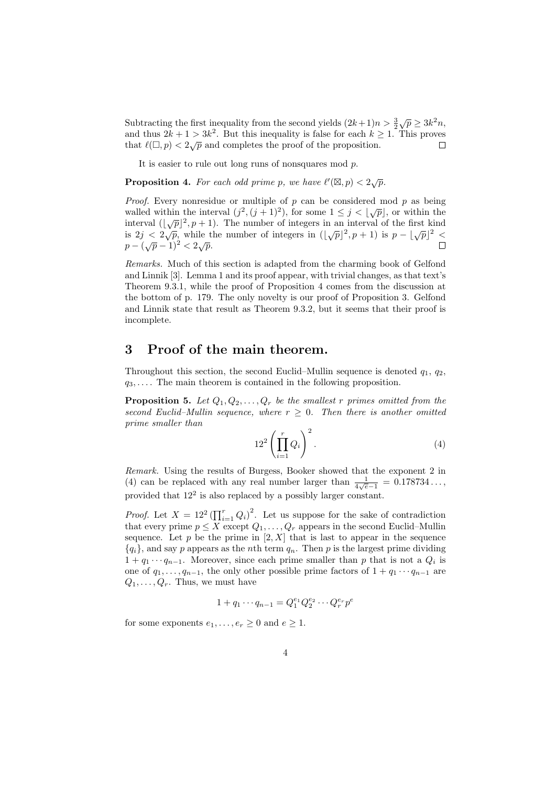Subtracting the first inequality from the second yields  $(2k+1)n > \frac{3}{2}\sqrt{p} \ge 3k^2n$ , and thus  $2k + 1 > 3k^2$ . But this inequality is false for each  $k \geq 1$ . This proves that  $\ell(\square, p) < 2\sqrt{p}$  and completes the proof of the proposition. П

It is easier to rule out long runs of nonsquares mod  $p$ .

**Proposition 4.** For each odd prime p, we have  $\ell'(\mathbb{Z}, p) < 2\sqrt{p}$ .

*Proof.* Every nonresidue or multiple of  $p$  can be considered mod  $p$  as being *r tooj*. Every nonestate of mattept of *p* can be considered mod *p* as being walled within the interval  $(j^2, (j + 1)^2)$ , for some  $1 \le j < |\sqrt{p}|$ , or within the wanted whilm the interval  $(j, (j+1)')$ , for some  $1 \leq j < \lfloor \sqrt{p} \rfloor$ , or within the interval  $(\lfloor \sqrt{p} \rfloor^2, p+1)$ . The number of integers in an interval of the first kind is  $2j < 2\sqrt{p}$ , while the number of integers in  $(\lfloor \sqrt{p} \rfloor^2, p+1)$  is  $p - \lfloor \sqrt{p} \rfloor^2$  $p - (\sqrt{p} - 1)^2 < 2\sqrt{p}$ .

Remarks. Much of this section is adapted from the charming book of Gelfond and Linnik [3]. Lemma 1 and its proof appear, with trivial changes, as that text's Theorem 9.3.1, while the proof of Proposition 4 comes from the discussion at the bottom of p. 179. The only novelty is our proof of Proposition 3. Gelfond and Linnik state that result as Theorem 9.3.2, but it seems that their proof is incomplete.

#### 3 Proof of the main theorem.

Throughout this section, the second Euclid–Mullin sequence is denoted  $q_1, q_2$ ,  $q_3, \ldots$ . The main theorem is contained in the following proposition.

**Proposition 5.** Let  $Q_1, Q_2, \ldots, Q_r$  be the smallest r primes omitted from the second Euclid–Mullin sequence, where  $r \geq 0$ . Then there is another omitted prime smaller than

$$
12^2 \left( \prod_{i=1}^r Q_i \right)^2.
$$
 (4)

Remark. Using the results of Burgess, Booker showed that the exponent 2 in (4) can be replaced with any real number larger than  $\frac{1}{4\sqrt{e}-1} = 0.178734...$ provided that  $12^2$  is also replaced by a possibly larger constant.

*Proof.* Let  $X = 12^2 \left( \prod_{i=1}^r Q_i \right)^2$ . Let us suppose for the sake of contradiction that every prime  $p \leq X$  except  $Q_1, \ldots, Q_r$  appears in the second Euclid–Mullin sequence. Let  $p$  be the prime in  $[2, X]$  that is last to appear in the sequence  ${q_i}$ , and say p appears as the nth term  $q_n$ . Then p is the largest prime dividing  $1 + q_1 \cdots q_{n-1}$ . Moreover, since each prime smaller than p that is not a  $Q_i$  is one of  $q_1, \ldots, q_{n-1}$ , the only other possible prime factors of  $1 + q_1 \cdots q_{n-1}$  are  $Q_1, \ldots, Q_r$ . Thus, we must have

$$
1 + q_1 \cdots q_{n-1} = Q_1^{e_1} Q_2^{e_2} \cdots Q_r^{e_r} p^e
$$

for some exponents  $e_1, \ldots, e_r \geq 0$  and  $e \geq 1$ .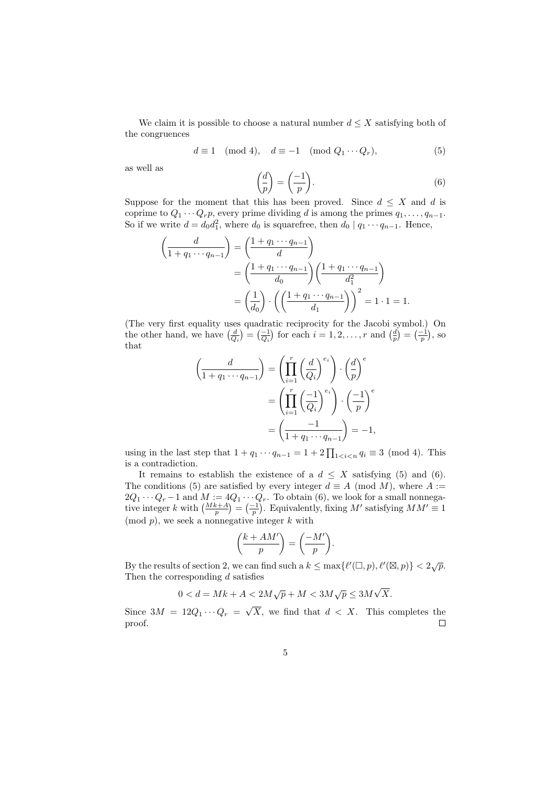We claim it is possible to choose a natural number  $d \leq X$  satisfying both of the congruences

$$
d \equiv 1 \pmod{4}, \quad d \equiv -1 \pmod{Q_1 \cdots Q_r},\tag{5}
$$

as well as

$$
\left(\frac{d}{p}\right) = \left(\frac{-1}{p}\right). \tag{6}
$$

Suppose for the moment that this has been proved. Since  $d \leq X$  and d is coprime to  $Q_1 \cdots Q_r p$ , every prime dividing d is among the primes  $q_1, \ldots, q_{n-1}$ . So if we write  $d = d_0 d_1^2$ , where  $d_0$  is squarefree, then  $d_0 | q_1 \cdots q_{n-1}$ . Hence,

$$
\left(\frac{d}{1+q_1\cdots q_{n-1}}\right) = \left(\frac{1+q_1\cdots q_{n-1}}{d}\right)
$$

$$
= \left(\frac{1+q_1\cdots q_{n-1}}{d_0}\right) \left(\frac{1+q_1\cdots q_{n-1}}{d_1^2}\right)
$$

$$
= \left(\frac{1}{d_0}\right) \cdot \left(\left(\frac{1+q_1\cdots q_{n-1}}{d_1}\right)\right)^2 = 1 \cdot 1 = 1.
$$

(The very first equality uses quadratic reciprocity for the Jacobi symbol.) On the other hand, we have  $\left(\frac{d}{Q_i}\right) = \left(\frac{-1}{Q_i}\right)$  for each  $i = 1, 2, \ldots, r$  and  $\left(\frac{d}{p}\right) = \left(\frac{-1}{p}\right)$ , so that

$$
\left(\frac{d}{1+q_1\cdots q_{n-1}}\right) = \left(\prod_{i=1}^r \left(\frac{d}{Q_i}\right)^{e_i}\right) \cdot \left(\frac{d}{p}\right)^e
$$

$$
= \left(\prod_{i=1}^r \left(\frac{-1}{Q_i}\right)^{e_i}\right) \cdot \left(\frac{-1}{p}\right)^e
$$

$$
= \left(\frac{-1}{1+q_1\cdots q_{n-1}}\right) = -1,
$$

using in the last step that  $1 + q_1 \cdots q_{n-1} = 1 + 2 \prod_{1 \leq i \leq n} q_i \equiv 3 \pmod{4}$ . This is a contradiction.

It remains to establish the existence of a  $d \leq X$  satisfying (5) and (6). The conditions (5) are satisfied by every integer  $d \equiv A \pmod{M}$ , where  $A :=$  $2Q_1 \cdots Q_r - 1$  and  $M := 4Q_1 \cdots Q_r$ . To obtain (6), we look for a small nonnegative integer k with  $\left(\frac{Mk+A}{p}\right) = \left(\frac{-1}{p}\right)$ . Equivalently, fixing M' satisfying  $MM' \equiv 1$  $\pmod{p}$ , we seek a nonnegative integer k with

$$
\left(\frac{k+AM'}{p}\right) = \left(\frac{-M'}{p}\right).
$$

By the results of section 2, we can find such a  $k \leq \max\{l'(\square, p), l'(\square, p)\} < 2\sqrt{p}$ . Then the corresponding  $d$  satisfies √

$$
0 < d = Mk + A < 2M\sqrt{p} + M < 3M\sqrt{p} \le 3M\sqrt{X}.
$$

Since  $3M = 12Q_1 \cdots Q_r =$ X, we find that  $d < X$ . This completes the proof.  $\Box$